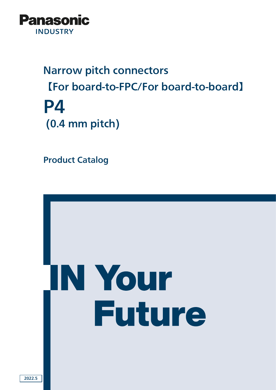

# Narrow pitch connectors 【For board-to-FPC/For board-to-board】 P4 (0.4 mm pitch)

Product Catalog

# **N Your Future**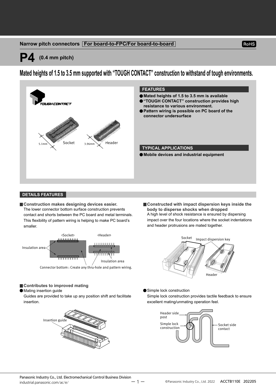#### **Narrow pitch connectors For board-to-FPC/For board-to-board**

### **P4 (0.4 mm pitch)**

**Mated heights of 1.5 to 3.5 mm supported with "TOUGH CONTACT" construction to withstand of tough environments.**



#### **DETAILS FEATURES**

**Construction makes designing devices easier.** The lower connector bottom surface construction prevents contact and shorts between the PC board and metal terminals. This flexibility of pattern wiring is helping to make PC board's smaller.



Connector bottom : Create any thru-hole and pattern wiring.

and header protrusions are mated together. Socket Impact dispersion key

**body to disperse shocks when dropped**



**Constructed with impact dispersion keys inside the** 

RoHS

A high level of shock resistance is ensured by dispersing impact over the four locations where the socket indentations

Simple lock construction

Simple lock construction provides tactile feedback to ensure excellent mating/unmating operation feel.



#### ■ Contributes to improved mating

Mating insertion guide

Guides are provided to take up any position shift and facilitate insertion.



Panasonic Industry Co., Ltd. Electromechanical Control Business Division  $\text{industrial.panasonic.com/ac/e/}$   $-1$   $\degree$  @Panasonic Industry Co., Ltd. 2022 ACCTB110E 202205

 $1 -$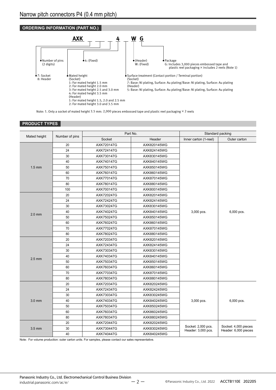

Note: 1. Only a socket of mated height 3.5 mm: 2,000 pieces embossed tape and plastic reel packaging ×2 reels

#### **PRODUCT TYPES**

|              |                |            | Part No.    |                                          | Standard packing                             |
|--------------|----------------|------------|-------------|------------------------------------------|----------------------------------------------|
| Mated height | Number of pins | Socket     | Header      | Inner carton (1-reel)                    | Outer carton                                 |
|              | 20             | AXK720147G | AXK820145WG |                                          |                                              |
|              | 24             | AXK724147G | AXK824145WG |                                          |                                              |
|              | 30             | AXK730147G | AXK830145WG |                                          |                                              |
|              | 40             | AXK740147G | AXK840145WG |                                          |                                              |
| $1.5$ mm     | 50             | AXK750147G | AXK850145WG |                                          |                                              |
|              | 60             | AXK760147G | AXK860145WG |                                          |                                              |
|              | 70             | AXK770147G | AXK870145WG |                                          |                                              |
|              | 80             | AXK780147G | AXK880145WG |                                          |                                              |
|              | 100            | AXK700147G | AXK800145WG |                                          |                                              |
|              | 20             | AXK720247G | AXK820145WG |                                          |                                              |
|              | 24             | AXK724247G | AXK824145WG |                                          |                                              |
|              | 30             | AXK730247G | AXK830145WG |                                          | 6,000 pcs.                                   |
| $2.0$ mm     | 40             | AXK740247G | AXK840145WG | 3,000 pcs.                               |                                              |
|              | 50             | AXK750247G | AXK850145WG |                                          |                                              |
|              | 60             | AXK760247G | AXK860145WG |                                          |                                              |
|              | 70             | AXK770247G | AXK870145WG |                                          |                                              |
|              | 80             | AXK780247G | AXK880145WG |                                          |                                              |
|              | 20             | AXK720347G | AXK820145WG |                                          |                                              |
|              | 24             | AXK724347G | AXK824145WG |                                          |                                              |
|              | 30             | AXK730347G | AXK830145WG |                                          |                                              |
| $2.5$ mm     | 40             | AXK740347G | AXK840145WG |                                          |                                              |
|              | 50             | AXK750347G | AXK850145WG |                                          |                                              |
|              | 60             | AXK760347G | AXK860145WG |                                          |                                              |
|              | 70             | AXK770347G | AXK870145WG |                                          |                                              |
|              | 80             | AXK780347G | AXK880145WG |                                          |                                              |
|              | 20             | AXK720347G | AXK820245WG |                                          |                                              |
|              | 24             | AXK724347G | AXK824245WG |                                          |                                              |
|              | 30             | AXK730347G | AXK830245WG |                                          |                                              |
| $3.0$ mm     | 40             | AXK740347G | AXK840245WG | 3,000 pcs.                               | 6,000 pcs.                                   |
|              | 50             | AXK750347G | AXK850245WG |                                          |                                              |
|              | 60             | AXK760347G | AXK860245WG |                                          |                                              |
|              | 80             | AXK780347G | AXK880245WG |                                          |                                              |
|              | 20             | AXK720447G | AXK820245WG |                                          |                                              |
| 3.5 mm       | 30             | AXK730447G | AXK830245WG | Socket: 2,000 pcs.<br>Header: 3,000 pcs. | Socket: 4,000 pieces<br>Header: 6,000 pieces |
|              | 40             | AXK740447G | AXK840245WG |                                          |                                              |

Note: For volume production: outer carton units. For samples, please contact our sales representative.

Panasonic Industry Co., Ltd. Electromechanical Control Business Division  $-2$   $-$  © Panasonic Industry Co., Ltd. 2022 ACCTB110E 202205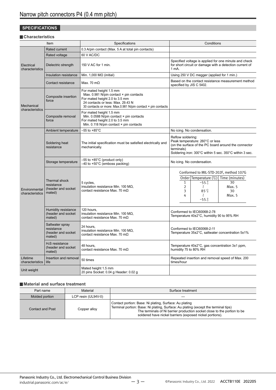#### **SPECIFICATIONS**

#### **Characteristics**

| Item                             |                                                               | Specifications                                                                                                                                                                                           | Conditions                                                                                                                                                                                                       |  |
|----------------------------------|---------------------------------------------------------------|----------------------------------------------------------------------------------------------------------------------------------------------------------------------------------------------------------|------------------------------------------------------------------------------------------------------------------------------------------------------------------------------------------------------------------|--|
|                                  | <b>Rated current</b>                                          | 0.3 A/pin contact (Max. 5 A at total pin contacts)                                                                                                                                                       |                                                                                                                                                                                                                  |  |
|                                  | Rated voltage                                                 | 60 V AC/DC                                                                                                                                                                                               |                                                                                                                                                                                                                  |  |
| Electrical<br>characteristics    | Dielectric strength                                           | 150 V AC for 1 min.                                                                                                                                                                                      | Specified voltage is applied for one minute and check<br>for short circuit or damage with a detection current of<br>1 mA.                                                                                        |  |
|                                  | Insulation resistance                                         | Min. 1,000 $M\Omega$ (initial)                                                                                                                                                                           | Using 250 V DC megger (applied for 1 min.)                                                                                                                                                                       |  |
| Contact resistance               |                                                               | Max. 70 m $\Omega$                                                                                                                                                                                       | Based on the contact resistance measurement method<br>specified by JIS C 5402.                                                                                                                                   |  |
| Mechanical<br>characteristics    | Composite insertion<br>force                                  | For mated height 1.5 mm<br>Max. 0.981 N/pin contact × pin contacts<br>For mated height 2.0 to 3.5 mm<br>24 contacts or less: Max. 29.43 N<br>30 contacts or more: Max.0.981 N/pin contact × pin contacts |                                                                                                                                                                                                                  |  |
|                                  | Composite removal<br>force                                    | For mated height 1.5 mm<br>Min. 0.0588 N/pin contact $\times$ pin contacts<br>For mated height 2.0 to 3.5 mm<br>Min. 0.118 N/pin contact × pin contacts                                                  |                                                                                                                                                                                                                  |  |
|                                  | Ambient temperature                                           | $-55$ to $+85^{\circ}$ C                                                                                                                                                                                 | No icing. No condensation.                                                                                                                                                                                       |  |
|                                  | Soldering heat<br>resistance                                  | The initial specification must be satisfied electrically and<br>mechanically.                                                                                                                            | Reflow soldering:<br>Peak temperature: 260°C or less<br>(on the surface of the PC board around the connector<br>terminals)<br>Soldering iron: 300°C within 5 sec. 350°C within 3 sec.                            |  |
|                                  | Storage temperature                                           | -55 to +85°C (product only)<br>$-40$ to $+50^{\circ}$ C (emboss packing)                                                                                                                                 | No icing. No condensation.                                                                                                                                                                                       |  |
| Environmental<br>characteristics | Thermal shock<br>resistance<br>(header and socket<br>mated)   | 5 cycles,<br>insulation resistance Min. 100 M $\Omega$ ,<br>contact resistance Max. 70 m $\Omega$                                                                                                        | Conformed to MIL-STD-202F, method 107G<br>Order Temperature (°C)<br>Time (minutes)<br>$-55-3$<br>$\mathbf{1}$<br>30<br>$\overline{2}$<br>₹<br>Max. 5<br>3<br>$85^{+3}_{-0}$<br>30<br>4<br>Max. 5<br>₹<br>$-55.9$ |  |
|                                  | Humidity resistance<br>(header and socket<br>mated)           | 120 hours,<br>insulation resistance Min. 100 $M\Omega$ .<br>contact resistance Max. 70 m $\Omega$                                                                                                        | Conformed to IEC60068-2-78<br>Temperature 40±2°C, humidity 90 to 95% RH                                                                                                                                          |  |
|                                  | Saltwater spray<br>resistance<br>(header and socket<br>mated) | 24 hours,<br>insulation resistance Min. 100 $M\Omega$ ,<br>contact resistance Max. 70 m $\Omega$                                                                                                         | Conformed to IEC60068-2-11<br>Temperature 35±2°C, saltwater concentration 5±1%                                                                                                                                   |  |
|                                  | H <sub>2</sub> S resistance<br>(header and socket<br>mated)   | 48 hours,<br>contact resistance Max. 70 m $\Omega$                                                                                                                                                       | Temperature 40±2°C, gas concentration 3±1 ppm,<br>humidity 75 to 80% RH                                                                                                                                          |  |
| Lifetime<br>characteristics      | Insertion and removal<br>life                                 | Repeated insertion and removal speed of Max. 200<br>50 times<br>times/hour                                                                                                                               |                                                                                                                                                                                                                  |  |
| Unit weight                      |                                                               | Mated height 1.5 mm<br>20 pins Socket: 0.04 g Header: 0.02 g                                                                                                                                             |                                                                                                                                                                                                                  |  |

#### **Material and surface treatment**

| Part name               | Material            | Surface treatment                                                                                                                                                                                                                                                                    |  |
|-------------------------|---------------------|--------------------------------------------------------------------------------------------------------------------------------------------------------------------------------------------------------------------------------------------------------------------------------------|--|
| Molded portion          | LCP resin (UL94V-0) |                                                                                                                                                                                                                                                                                      |  |
| <b>Contact and Post</b> | Copper alloy        | Contact portion: Base: Ni plating, Surface: Au plating<br>Terminal portion: Base: Ni plating, Surface: Au plating (except the terminal tips)<br>The terminals of Ni barrier production socket close to the portion to be<br>soldered have nickel barriers (exposed nickel portions). |  |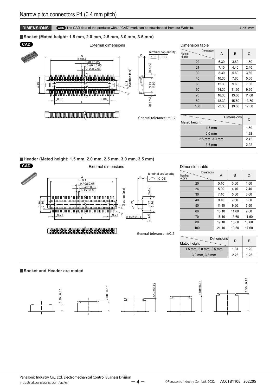#### **DIMENSIONS CAD** The CAD data of the products with a "CAD" mark can be downloaded from our Website. Unit: mm

**Socket (Mated height: 1.5 mm, 2.0 mm, 2.5 mm, 3.0 mm, 3.5 mm)**



**Dimensions** Numbe of pins  $A \vert B \vert C$ 20 6.30 3.60 1.60 24 7.10 4.40 2.40 30 8.30 5.60 3.60 40 10.30 7.60 5.60 50 12.30 9.60 7.60 60 14.30 11.60 9.60 70 16.30 13.60 11.60 80 18.30 15.60 13.60 100 22.30 19.60 17.60

| Dimensions<br>Mated height | D    |
|----------------------------|------|
| $1.5 \text{ mm}$           | 1.50 |
| $2.0$ mm                   | 1.92 |
| 2.5 mm, 3.0 mm             | 2.42 |
| $3.5 \text{ mm}$           | 2.92 |
|                            |      |

**Header (Mated height: 1.5 mm, 2.0 mm, 2.5 mm, 3.0 mm, 3.5 mm)**



#### Dimension table

Dimension table

| <b>Dimensions</b><br>Number<br>of pins | A     | B     | C     |
|----------------------------------------|-------|-------|-------|
| 20                                     | 5.10  | 3.60  | 1.60  |
| 24                                     | 5.90  | 4.40  | 2.40  |
| 30                                     | 7.10  | 5.60  | 3.60  |
| 40                                     | 9.10  | 7.60  | 5.60  |
| 50                                     | 11.10 | 9.60  | 7.60  |
| 60                                     | 13.10 | 11.60 | 9.60  |
| 70                                     | 15.10 | 13.60 | 11.60 |
| 80                                     | 17.10 | 15.60 | 13.60 |
| 100                                    | 21.10 | 19.60 | 17.60 |

| Dimensions<br>Mated height | D    | F    |
|----------------------------|------|------|
| 1.5 mm, 2.0 mm, 2.5 mm     | 1.31 | 1.20 |
| 3.0 mm, 3.5 mm             | 2.26 | 1.26 |

#### **Socket and Header are mated**



#### Panasonic Industry Co., Ltd. Electromechanical Control Business Division  $-4 -$  Panasonic.com/ac/e/ Panasonic Industry Co., Ltd. 2022 ACCTB110E 202205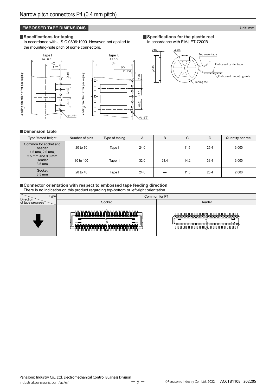#### **EMBOSSED TAPE DIMENSIONS EXECUTE THE EXECUTIVE OF THE EXECUTIVE OF THE EXECUTIVE OF THE Unit: mm**

#### **Specifications for taping**

In accordance with JIS C 0806:1990. However, not applied to the mounting-hole pitch of some connectors.





**Specifications for the plastic reel** In accordance with EIAJ ET-7200B.



#### **Dimension table**

| Type/Mated height                                      | Number of pins | Type of taping | A    | B    | С    | D    | Quantity per reel |
|--------------------------------------------------------|----------------|----------------|------|------|------|------|-------------------|
| Common for socket and<br>header<br>$1.5$ mm, $2.0$ mm, | 20 to 70       | Tape I         | 24.0 |      | 11.5 | 25.4 | 3,000             |
| $2.5$ mm and $3.0$ mm<br>Header<br>$3.5$ mm            | 80 to 100      | Tape II        | 32.0 | 28.4 | 14.2 | 33.4 | 3,000             |
| Socket<br>$3.5$ mm                                     | 20 to 40       | Tape I         | 24.0 |      | 11.5 | 25.4 | 2,000             |

#### **Connector orientation with respect to embossed tape feeding direction**

There is no indication on this product regarding top-bottom or left-right orientation.

| Type<br>Direction | Common for P4 |        |  |  |  |
|-------------------|---------------|--------|--|--|--|
| of tape progress  | Socket        | Header |  |  |  |
|                   | -             |        |  |  |  |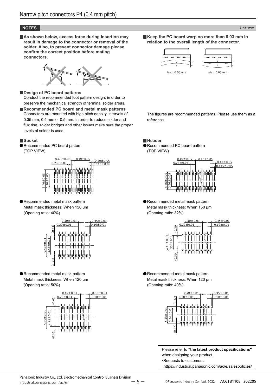#### **NOTES** Unit: mm

■ As shown below, excess force during insertion may **result in damage to the connector or removal of the solder. Also, to prevent connector damage please confirm the correct position before mating connectors.**



**Design of PC board patterns** Conduct the recommended foot pattern design, in order to preserve the mechanical strength of terminal solder areas.

**Recommended PC board and metal mask patterns** Connectors are mounted with high pitch density, intervals of 0.35 mm, 0.4 mm or 0.5 mm. In order to reduce solder and flux rise, solder bridges and other issues make sure the proper levels of solder is used.

#### **Socket**

Recommended PC board pattern (TOP VIEW)



Recommended metal mask pattern Metal mask thickness: When 150 μm (Opening ratio: 40%)



Recommended metal mask pattern Metal mask thickness: When 120 μm (Opening ratio: 50%)



**Keep the PC board warp no more than 0.03 mm in relation to the overall length of the connector.**



The figures are recommended patterns. Please use them as a reference.

**Header**

Recommended PC board pattern (TOP VIEW)



Recommended metal mask pattern Metal mask thickness: When 150 μm (Opening ratio: 32%)



Recommended metal mask pattern Metal mask thickness: When 120 μm (Opening ratio: 40%)



Please refer to **"the latest product specifications"** when designing your product. •Requests to customers: https://industrial.panasonic.com/ac/e/salespolicies/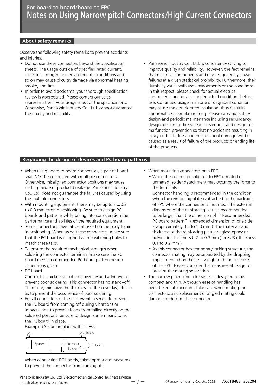#### About safety remarks

Observe the following safety remarks to prevent accidents and injuries.

- Do not use these connectors beyond the specification sheets. The usage outside of specified rated current, dielectric strength, and environmental conditions and so on may cause circuitry damage via abnormal heating, smoke, and fire.
- In order to avoid accidents, your thorough specification review is appreciated. Please contact our sales representative if your usage is out of the specifications. Otherwise, Panasonic Industry Co., Ltd. cannot guarantee the quality and reliability.
- Panasonic Industry Co., Ltd. is consistently striving to improve quality and reliability. However, the fact remains that electrical components and devices generally cause failures at a given statistical probability. Furthermore, their durability varies with use environments or use conditions. In this respect, please check for actual electrical components and devices under actual conditions before use. Continued usage in a state of degraded condition may cause the deteriorated insulation, thus result in abnormal heat, smoke or firing. Please carry out safety design and periodic maintenance including redundancy design, design for fire spread prevention, and design for malfunction prevention so that no accidents resulting in injury or death, fire accidents, or social damage will be caused as a result of failure of the products or ending life of the products.

#### Regarding the design of devices and PC board patterns

- When using board to board connectors, a pair of board shall NOT be connected with multiple connectors. Otherwise, misaligned connector positions may cause mating failure or product breakage. Panasonic Industry Co., Ltd. does not guarantee the failures caused by using the multiple connectors.
- With mounting equipment, there may be up to a  $\pm 0.2$ to 0.3 mm error in positioning. Be sure to design PC boards and patterns while taking into consideration the performance and abilities of the required equipment.
- Some connectors have tabs embossed on the body to aid in positioning. When using these connectors, make sure that the PC board is designed with positioning holes to match these tabs.
- To ensure the required mechanical strength when soldering the connector terminals, make sure the PC board meets recommended PC board pattern design dimensions given.
- PC board

Control the thicknesses of the cover lay and adhesive to prevent poor soldering. This connector has no stand-off. Therefore, minimize the thickness of the cover lay, etc. so as to prevent the occurrence of poor soldering.

• For all connectors of the narrow pitch series, to prevent the PC board from coming off during vibrations or impacts, and to prevent loads from falling directly on the soldered portions, be sure to design some means to fix the PC board in place.

Example ) Secure in place with screws



When connecting PC boards, take appropriate measures to prevent the connector from coming off.

- When mounting connectors on a FPC
	- When the connector soldered to FPC is mated or unmated, solder detachment may occur by the force to the terminals.
	- Connector handling is recommended in the condition when the reinforcing plate is attached to the backside of FPC where the connector is mounted. The external dimension of the reinforcing plate is recommended to be larger than the dimension of " Recommended PC board pattern " ( extended dimension of one side is approximately 0.5 to 1.0 mm ). The materials and thickness of the reinforcing plate are glass epoxy or polyimide ( thickness 0.2 to 0.3 mm ) or SUS ( thickness 0.1 to 0.2 mm ).
	- As this connector has temporary locking structure, the connector mating may be separated by the dropping impact depend on the size, weight or bending force of the FPC. Please consider the measures at usage to prevent the mating separation.
- The narrow pitch connector series is designed to be compact and thin. Although ease of handling has been taken into account, take care when mating the connectors, as displacement or angled mating could damage or deform the connector.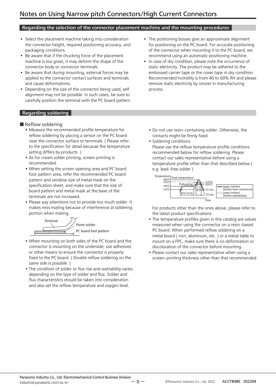#### Regarding the selection of the connector placement machine and the mounting procedures

- Select the placement machine taking into consideration the connector height, required positioning accuracy, and packaging conditions.
- Be aware that if the chucking force of the placement machine is too great, it may deform the shape of the connector body or connector terminals.
- Be aware that during mounting, external forces may be applied to the connector contact surfaces and terminals and cause deformations.
- Depending on the size of the connector being used, self alignment may not be possible. In such cases, be sure to carefully position the terminal with the PC board pattern.

#### Regarding soldering

- Reflow soldering
	- Measure the recommended profile temperature for reflow soldering by placing a sensor on the PC board near the connector surface or terminals. ( Please refer to the specification for detail because the temperature setting differs by products. )
	- As for cream solder printing, screen printing is recommended.
	- When setting the screen opening area and PC board foot pattern area, refer the recommended PC board pattern and window size of metal mask on the specification sheet, and make sure that the size of board pattern and metal mask at the base of the terminals are not increased.
	- Please pay attentions not to provide too much solder. It makes miss mating because of interference at soldering portion when mating.



- When mounting on both sides of the PC board and the connector is mounting on the underside, use adhesives or other means to ensure the connector is properly fixed to the PC board. ( Double reflow soldering on the same side is possible. )
- The condition of solder or flux rise and wettability varies depending on the type of solder and flux. Solder and flux characteristics should be taken into consideration and also set the reflow temperature and oxygen level.
- The positioning bosses give an approximate alignment for positioning on the PC board. For accurate positioning of the connector when mounting it to the PC board, we recommend using an automatic positioning machine.
- In case of dry condition, please note the occurrence of static electricity. The product may be adhered to the embossed carrier tape or the cover tape in dry condition. Recommended humidity is from 40 to 60% RH and please remove static electricity by ionizer in manufacturing process.
	- Do not use resin-containing solder. Otherwise, the contacts might be firmly fixed.
	- Soldering conditions
	- Please use the reflow temperature profile conditions recommended below for reflow soldering. Please contact our sales representative before using a temperature profile other than that described below ( e.g. lead-free solder )



For products other than the ones above, please refer to the latest product specifications.

- The temperature profiles given in this catalog are values measured when using the connector on a resin-based PC board. When performed reflow soldering on a metal board ( iron, aluminum, etc. ) or a metal table to mount on a FPC, make sure there is no deformation or discoloration of the connector before mounting.
- Please contact our sales representative when using a screen-printing thickness other than that recommended.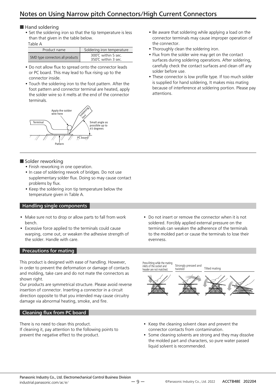#### ■ Hand soldering

• Set the soldering iron so that the tip temperature is less than that given in the table below.

Table A

| Product name                     | Soldering iron temperature               |  |
|----------------------------------|------------------------------------------|--|
| SMD type connectors all products | 300℃ within 5 sec.<br>350℃ within 3 sec. |  |

- Do not allow flux to spread onto the connector leads or PC board. This may lead to flux rising up to the connector inside.
- Touch the soldering iron to the foot pattern. After the foot pattern and connector terminal are heated, apply the solder wire so it melts at the end of the connector terminals.



#### ■ Solder reworking

- Finish reworking in one operation.
- In case of soldering rework of bridges. Do not use supplementary solder flux. Doing so may cause contact problems by flux.
- Keep the soldering iron tip temperature below the temperature given in Table A.

#### Handling single components

- Make sure not to drop or allow parts to fall from work bench.
- Excessive force applied to the terminals could cause warping, come out, or weaken the adhesive strength of the solder. Handle with care.

#### Precautions for mating

This product is designed with ease of handling. However, in order to prevent the deformation or damage of contacts and molding, take care and do not mate the connectors as shown right.

Our products are symmetrical structure. Please avoid reverse insertion of connector. Inserting a connector in a circuit direction opposite to that you intended may cause circuitry damage via abnormal heating, smoke, and fire.

#### Cleaning flux from PC board

There is no need to clean this product. If cleaning it, pay attention to the following points to prevent the negative effect to the product.

• Do not insert or remove the connector when it is not soldered. Forcibly applied external pressure on the terminals can weaken the adherence of the terminals to the molded part or cause the terminals to lose their evenness.

• Be aware that soldering while applying a load on the connector terminals may cause improper operation of

• Flux from the solder wire may get on the contact surfaces during soldering operations. After soldering, carefully check the contact surfaces and clean off any

• These connector is low profile type. If too much solder is supplied for hand soldering, It makes miss mating because of interference at soldering portion. Please pay

• Thoroughly clean the soldering iron.

the connector.

solder before use.

attentions.

Strongly pressed and<br>twisted and Tilted mating Press-fitting while the mating<br>inlets of the socket and header are not matched

- Keep the cleaning solvent clean and prevent the connector contacts from contamination.
- Some cleaning solvents are strong and they may dissolve the molded part and characters, so pure water passed liquid solvent is recommended.

 $-9 -$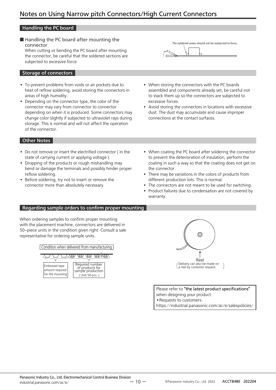#### Handling the PC board

■ Handling the PC board after mounting the connector

When cutting or bending the PC board after mounting the connector, be careful that the soldered sections are subjected to excessive force.

#### Storage of connectors

- To prevent problems from voids or air pockets due to heat of reflow soldering, avoid storing the connectors in areas of high humidity.
- Depending on the connector type, the color of the connector may vary from connector to connector depending on when it is produced. Some connectors may change color slightly if subjected to ultraviolet rays during storage. This is normal and will not affect the operation of the connector.

#### Other Notes

- Do not remove or insert the electrified connector ( in the state of carrying current or applying voltage ).
- Dropping of the products or rough mishandling may bend or damage the terminals and possibly hinder proper reflow soldering.
- Before soldering, try not to insert or remove the connector more than absolutely necessary.



- When storing the connectors with the PC boards assembled and components already set, be careful not to stack them up so the connectors are subjected to excessive forces.
- Avoid storing the connectors in locations with excessive dust. The dust may accumulate and cause improper connections at the contact surfaces.
- When coating the PC board after soldering the connector to prevent the deterioration of insulation, perform the coating in such a way so that the coating does not get on the connector.
- There may be variations in the colors of products from different production lots. This is normal.
- The connectors are not meant to be used for switching.
- Product failures due to condensation are not covered by warranty.

#### Regarding sample orders to confirm proper mounting

When ordering samples to confirm proper mounting with the placement machine, connectors are delivered in 50-piece units in the condition given right. Consult a sale representative for ordering sample units.





Please refer to "the latest product specifications" when designing your product. •Requests to customers: https://industrial.panasonic.com/ac/e/salespolicies/